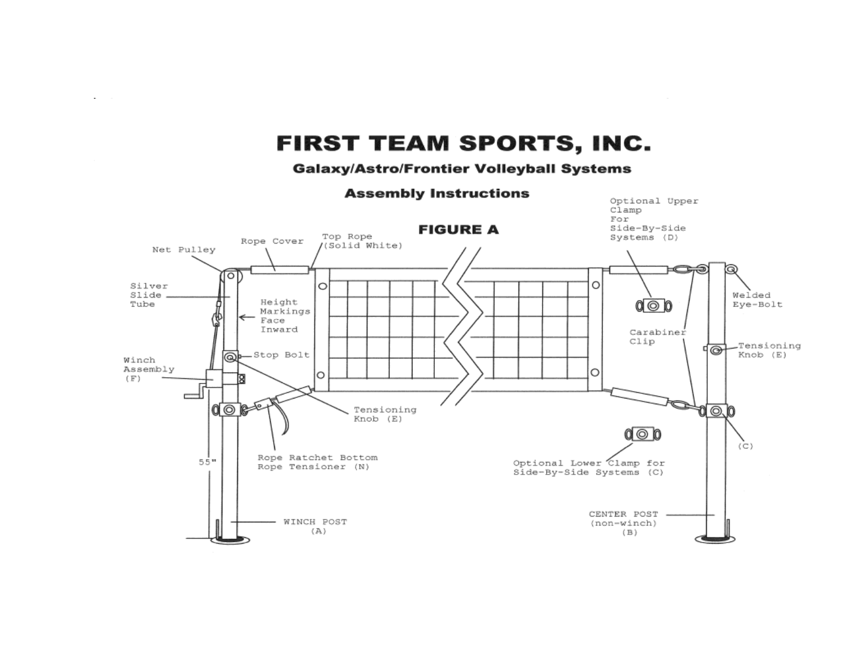# **FIRST TEAM SPORTS, INC.**

 $\sim$ 

#### **Galaxy/Astro/Frontier Volleyball Systems**

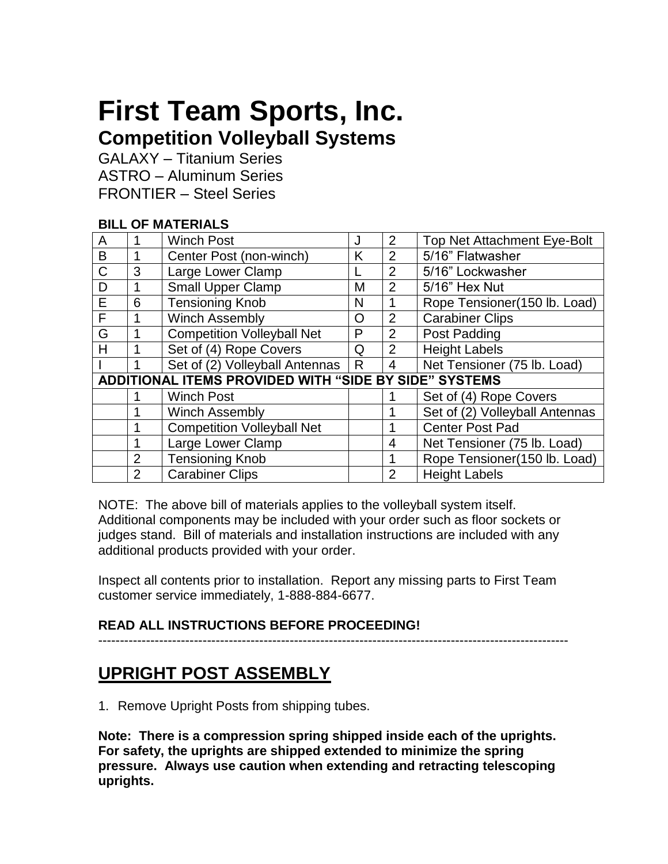# **First Team Sports, Inc. Competition Volleyball Systems**

GALAXY – Titanium Series ASTRO – Aluminum Series FRONTIER – Steel Series

### **BILL OF MATERIALS**

| A                                                     |                | <b>Winch Post</b>                 | J | 2              | <b>Top Net Attachment Eye-Bolt</b> |
|-------------------------------------------------------|----------------|-----------------------------------|---|----------------|------------------------------------|
| B                                                     |                | Center Post (non-winch)           | K | $\overline{2}$ | 5/16" Flatwasher                   |
| $\mathsf{C}$                                          | 3              | Large Lower Clamp                 |   | 2              | 5/16" Lockwasher                   |
| D                                                     |                | <b>Small Upper Clamp</b>          | M | 2              | 5/16" Hex Nut                      |
| E                                                     | 6              | <b>Tensioning Knob</b>            | N |                | Rope Tensioner(150 lb. Load)       |
| F                                                     |                | <b>Winch Assembly</b>             | O | 2              | Carabiner Clips                    |
| G                                                     |                | <b>Competition Volleyball Net</b> | P | 2              | Post Padding                       |
| н                                                     |                | Set of (4) Rope Covers            | Q | $\overline{2}$ | <b>Height Labels</b>               |
|                                                       |                | Set of (2) Volleyball Antennas    | R | $\overline{4}$ | Net Tensioner (75 lb. Load)        |
| ADDITIONAL ITEMS PROVIDED WITH "SIDE BY SIDE" SYSTEMS |                |                                   |   |                |                                    |
|                                                       |                | <b>Winch Post</b>                 |   |                | Set of (4) Rope Covers             |
|                                                       |                | <b>Winch Assembly</b>             |   |                | Set of (2) Volleyball Antennas     |
|                                                       |                | <b>Competition Volleyball Net</b> |   |                | <b>Center Post Pad</b>             |
|                                                       |                | Large Lower Clamp                 |   | 4              | Net Tensioner (75 lb. Load)        |
|                                                       | $\overline{2}$ | <b>Tensioning Knob</b>            |   |                | Rope Tensioner(150 lb. Load)       |
|                                                       | $\overline{2}$ | <b>Carabiner Clips</b>            |   | 2              | <b>Height Labels</b>               |

NOTE: The above bill of materials applies to the volleyball system itself. Additional components may be included with your order such as floor sockets or judges stand. Bill of materials and installation instructions are included with any additional products provided with your order.

Inspect all contents prior to installation. Report any missing parts to First Team customer service immediately, 1-888-884-6677.

### **READ ALL INSTRUCTIONS BEFORE PROCEEDING!**

------------------------------------------------------------------------------------------------------------

# **UPRIGHT POST ASSEMBLY**

1. Remove Upright Posts from shipping tubes.

**Note: There is a compression spring shipped inside each of the uprights. For safety, the uprights are shipped extended to minimize the spring pressure. Always use caution when extending and retracting telescoping uprights.**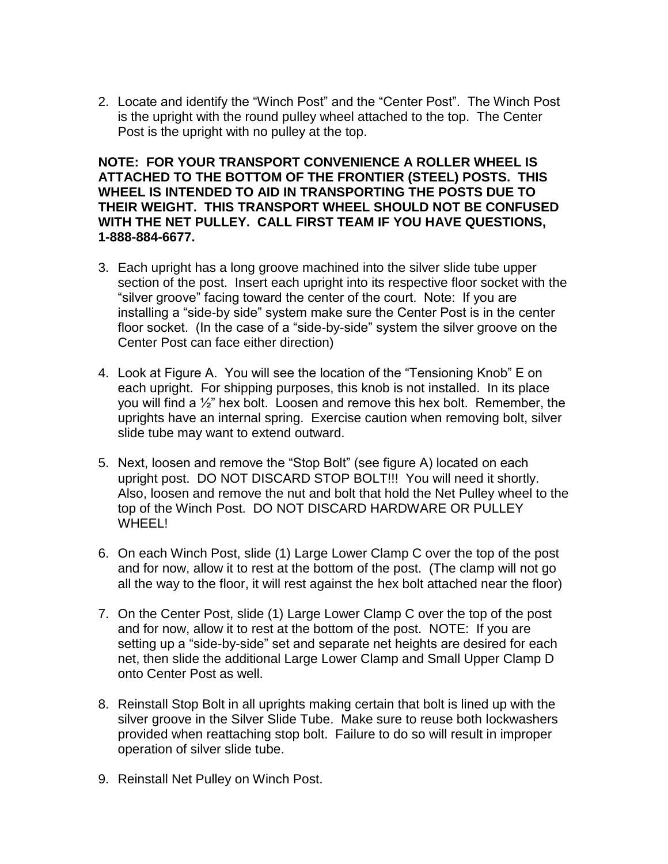2. Locate and identify the "Winch Post" and the "Center Post". The Winch Post is the upright with the round pulley wheel attached to the top. The Center Post is the upright with no pulley at the top.

**NOTE: FOR YOUR TRANSPORT CONVENIENCE A ROLLER WHEEL IS ATTACHED TO THE BOTTOM OF THE FRONTIER (STEEL) POSTS. THIS WHEEL IS INTENDED TO AID IN TRANSPORTING THE POSTS DUE TO THEIR WEIGHT. THIS TRANSPORT WHEEL SHOULD NOT BE CONFUSED WITH THE NET PULLEY. CALL FIRST TEAM IF YOU HAVE QUESTIONS, 1-888-884-6677.**

- 3. Each upright has a long groove machined into the silver slide tube upper section of the post. Insert each upright into its respective floor socket with the "silver groove" facing toward the center of the court. Note: If you are installing a "side-by side" system make sure the Center Post is in the center floor socket. (In the case of a "side-by-side" system the silver groove on the Center Post can face either direction)
- 4. Look at Figure A. You will see the location of the "Tensioning Knob" E on each upright. For shipping purposes, this knob is not installed. In its place you will find a ½" hex bolt. Loosen and remove this hex bolt. Remember, the uprights have an internal spring. Exercise caution when removing bolt, silver slide tube may want to extend outward.
- 5. Next, loosen and remove the "Stop Bolt" (see figure A) located on each upright post. DO NOT DISCARD STOP BOLT!!! You will need it shortly. Also, loosen and remove the nut and bolt that hold the Net Pulley wheel to the top of the Winch Post. DO NOT DISCARD HARDWARE OR PULLEY WHEEL!
- 6. On each Winch Post, slide (1) Large Lower Clamp C over the top of the post and for now, allow it to rest at the bottom of the post. (The clamp will not go all the way to the floor, it will rest against the hex bolt attached near the floor)
- 7. On the Center Post, slide (1) Large Lower Clamp C over the top of the post and for now, allow it to rest at the bottom of the post. NOTE: If you are setting up a "side-by-side" set and separate net heights are desired for each net, then slide the additional Large Lower Clamp and Small Upper Clamp D onto Center Post as well.
- 8. Reinstall Stop Bolt in all uprights making certain that bolt is lined up with the silver groove in the Silver Slide Tube. Make sure to reuse both lockwashers provided when reattaching stop bolt. Failure to do so will result in improper operation of silver slide tube.
- 9. Reinstall Net Pulley on Winch Post.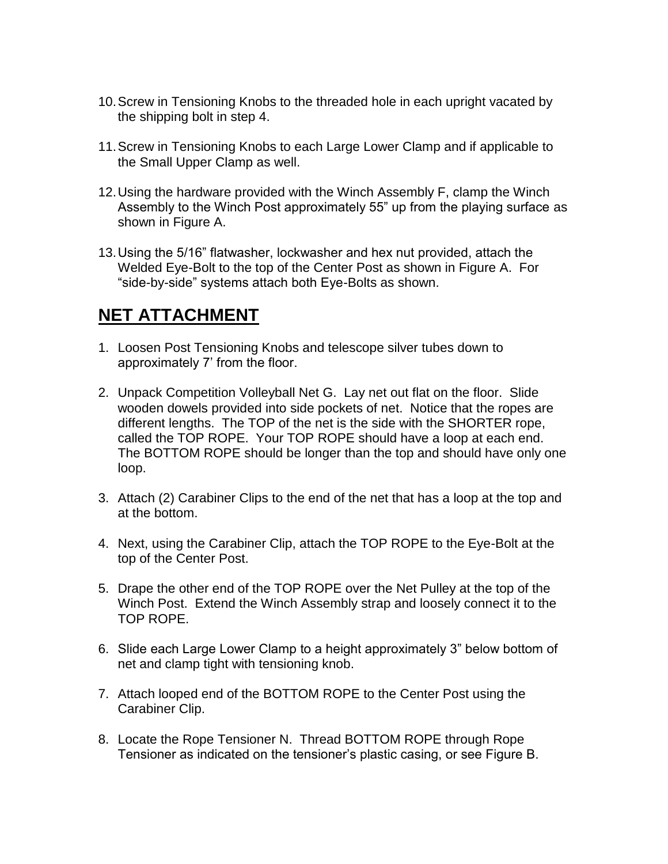- 10.Screw in Tensioning Knobs to the threaded hole in each upright vacated by the shipping bolt in step 4.
- 11.Screw in Tensioning Knobs to each Large Lower Clamp and if applicable to the Small Upper Clamp as well.
- 12.Using the hardware provided with the Winch Assembly F, clamp the Winch Assembly to the Winch Post approximately 55" up from the playing surface as shown in Figure A.
- 13.Using the 5/16" flatwasher, lockwasher and hex nut provided, attach the Welded Eye-Bolt to the top of the Center Post as shown in Figure A. For "side-by-side" systems attach both Eye-Bolts as shown.

# **NET ATTACHMENT**

- 1. Loosen Post Tensioning Knobs and telescope silver tubes down to approximately 7' from the floor.
- 2. Unpack Competition Volleyball Net G. Lay net out flat on the floor. Slide wooden dowels provided into side pockets of net. Notice that the ropes are different lengths. The TOP of the net is the side with the SHORTER rope, called the TOP ROPE. Your TOP ROPE should have a loop at each end. The BOTTOM ROPE should be longer than the top and should have only one loop.
- 3. Attach (2) Carabiner Clips to the end of the net that has a loop at the top and at the bottom.
- 4. Next, using the Carabiner Clip, attach the TOP ROPE to the Eye-Bolt at the top of the Center Post.
- 5. Drape the other end of the TOP ROPE over the Net Pulley at the top of the Winch Post. Extend the Winch Assembly strap and loosely connect it to the TOP ROPE.
- 6. Slide each Large Lower Clamp to a height approximately 3" below bottom of net and clamp tight with tensioning knob.
- 7. Attach looped end of the BOTTOM ROPE to the Center Post using the Carabiner Clip.
- 8. Locate the Rope Tensioner N. Thread BOTTOM ROPE through Rope Tensioner as indicated on the tensioner's plastic casing, or see Figure B.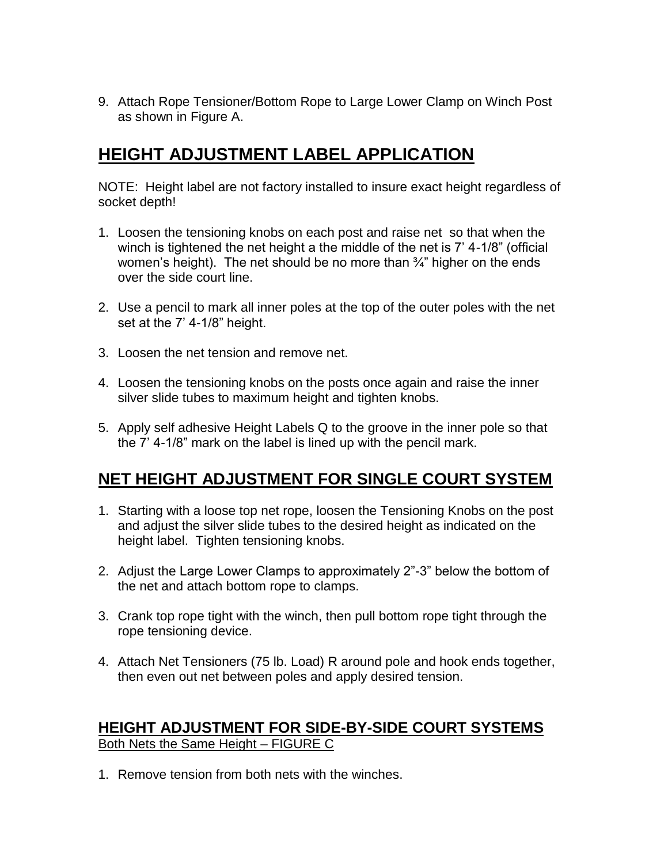9. Attach Rope Tensioner/Bottom Rope to Large Lower Clamp on Winch Post as shown in Figure A.

# **HEIGHT ADJUSTMENT LABEL APPLICATION**

NOTE: Height label are not factory installed to insure exact height regardless of socket depth!

- 1. Loosen the tensioning knobs on each post and raise net so that when the winch is tightened the net height a the middle of the net is 7' 4-1/8" (official women's height). The net should be no more than  $\frac{3}{4}$ " higher on the ends over the side court line.
- 2. Use a pencil to mark all inner poles at the top of the outer poles with the net set at the 7' 4-1/8" height.
- 3. Loosen the net tension and remove net.
- 4. Loosen the tensioning knobs on the posts once again and raise the inner silver slide tubes to maximum height and tighten knobs.
- 5. Apply self adhesive Height Labels Q to the groove in the inner pole so that the 7' 4-1/8" mark on the label is lined up with the pencil mark.

# **NET HEIGHT ADJUSTMENT FOR SINGLE COURT SYSTEM**

- 1. Starting with a loose top net rope, loosen the Tensioning Knobs on the post and adjust the silver slide tubes to the desired height as indicated on the height label. Tighten tensioning knobs.
- 2. Adjust the Large Lower Clamps to approximately 2"-3" below the bottom of the net and attach bottom rope to clamps.
- 3. Crank top rope tight with the winch, then pull bottom rope tight through the rope tensioning device.
- 4. Attach Net Tensioners (75 lb. Load) R around pole and hook ends together, then even out net between poles and apply desired tension.

### **HEIGHT ADJUSTMENT FOR SIDE-BY-SIDE COURT SYSTEMS** Both Nets the Same Height – FIGURE C

1. Remove tension from both nets with the winches.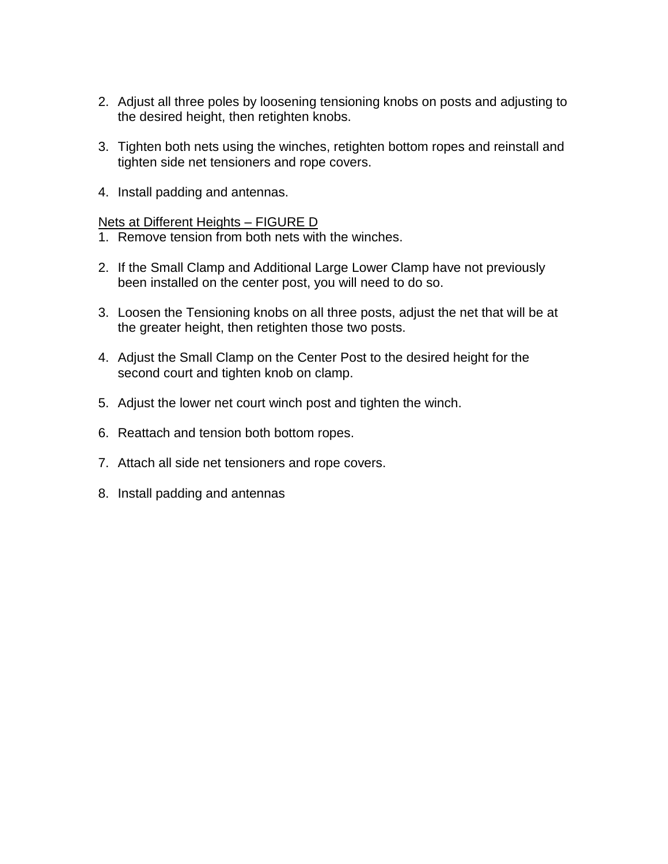- 2. Adjust all three poles by loosening tensioning knobs on posts and adjusting to the desired height, then retighten knobs.
- 3. Tighten both nets using the winches, retighten bottom ropes and reinstall and tighten side net tensioners and rope covers.
- 4. Install padding and antennas.

#### Nets at Different Heights – FIGURE D

- 1. Remove tension from both nets with the winches.
- 2. If the Small Clamp and Additional Large Lower Clamp have not previously been installed on the center post, you will need to do so.
- 3. Loosen the Tensioning knobs on all three posts, adjust the net that will be at the greater height, then retighten those two posts.
- 4. Adjust the Small Clamp on the Center Post to the desired height for the second court and tighten knob on clamp.
- 5. Adjust the lower net court winch post and tighten the winch.
- 6. Reattach and tension both bottom ropes.
- 7. Attach all side net tensioners and rope covers.
- 8. Install padding and antennas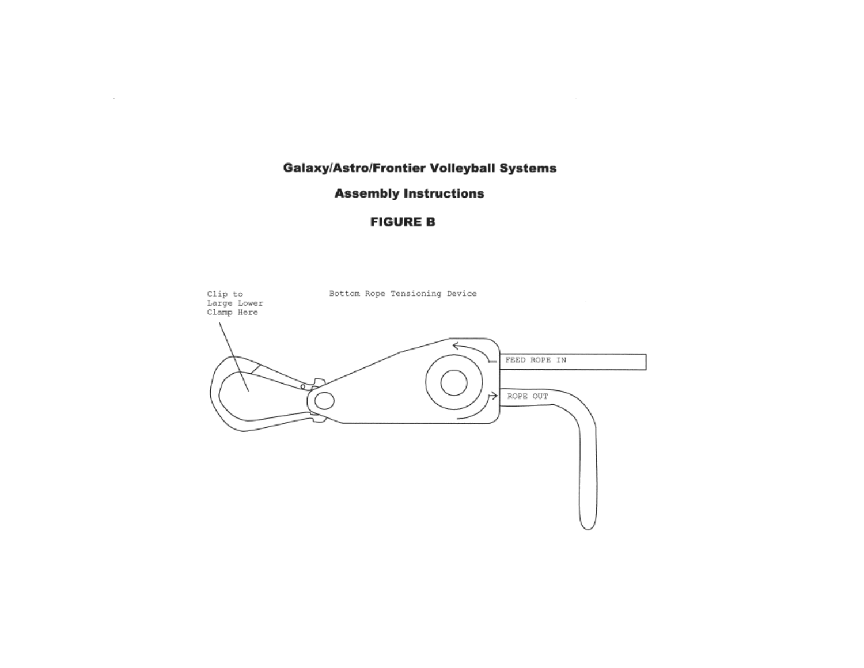**Galaxy/Astro/Frontier Volleyball Systems** 

 $\sim$ 

#### **Assembly Instructions**

 $\sim$ 

#### **FIGURE B**

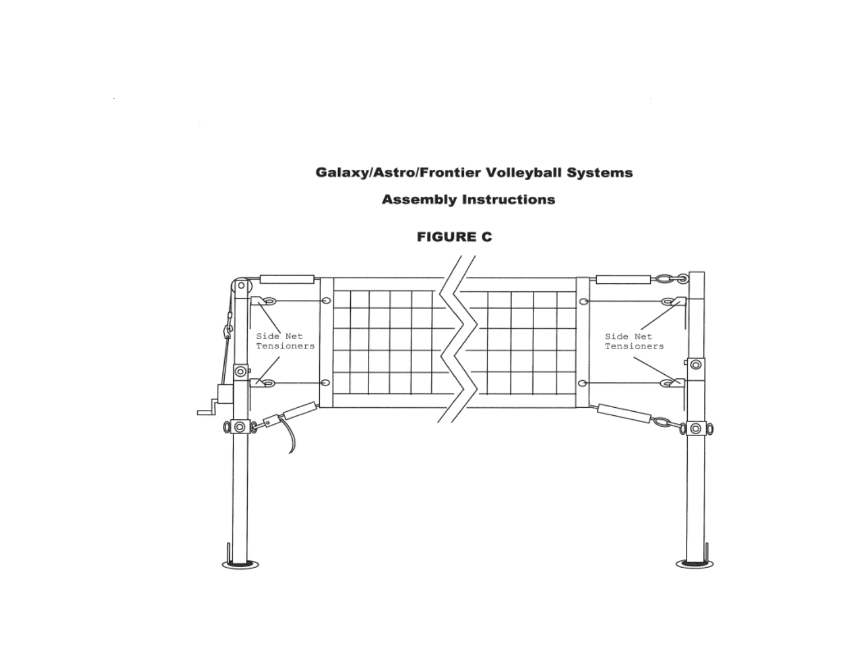### **Galaxy/Astro/Frontier Volleyball Systems**

### **Assembly Instructions**



 $\sim$ 

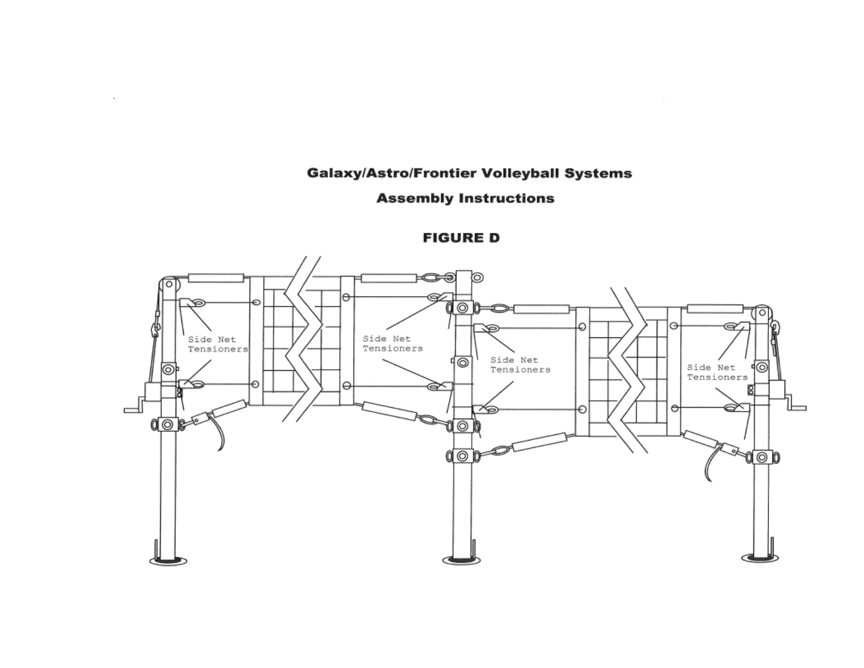### **Galaxy/Astro/Frontier Volleyball Systems**

 $\sim$ 

#### **Assembly Instructions**

#### **FIGURE D**